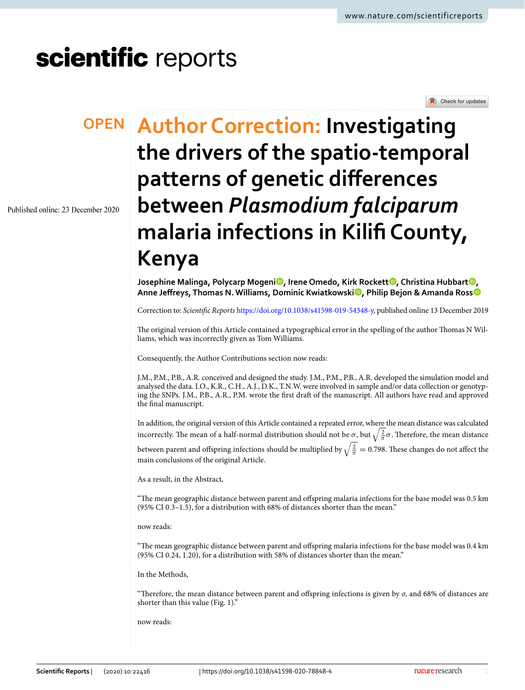Check for updates

# scientific reports

Published online: 23 December 2020

## **Author Correction: Investigating OPENthe drivers of the spatio‑temporal patterns of genetic diferences between** *Plasmodium falciparum* **malaria infections in Kilif County, Kenya**

**Josephine Malinga, Polycarp Mogeni [,](http://orcid.org/0000-0003-1926-7576) Irene Omedo, Kirk Rockett [,](http://orcid.org/0000-0002-6369-9299) Christina Hubbart [,](http://orcid.org/0000-0001-9576-9581) Anne Jefreys, Thomas N. Williams, Dominic Kwiatkowski [,](http://orcid.org/0000-0002-5023-0176) Philip Bejon & Amanda Ros[s](http://orcid.org/0000-0001-6027-5645)**

Correction to: *Scientifc Reports* [https://doi.org/10.1038/s41598-019-54348-y,](https://doi.org/10.1038/s41598-019-54348-y) published online 13 December 2019

The original version of this Article contained a typographical error in the spelling of the author Thomas N Williams, which was incorrectly given as Tom Williams.

Consequently, the Author Contributions section now reads:

J.M., P.M., P.B., A.R. conceived and designed the study. J.M., P.M., P.B., A.R. developed the simulation model and analysed the data. I.O., K.R., C.H., A.J., D.K., T.N.W. were involved in sample and/or data collection or genotyping the SNPs. J.M., P.B., A.R., P.M. wrote the frst draf of the manuscript. All authors have read and approved the fnal manuscript.

In addition, the original version of this Article contained a repeated error, where the mean distance was calculated incorrectly. The mean of a half-normal distribution should not be  $\sigma$ , but  $\sqrt{\frac{2}{\pi}}\sigma$ . Therefore, the mean distance between parent and offspring infections should be multiplied by  $\sqrt{\frac{2}{\pi}} = 0.798$ . These changes do not affect the main conclusions of the original Article.

As a result, in the Abstract,

"Te mean geographic distance between parent and ofspring malaria infections for the base model was 0.5 km (95% CI 0.3–1.5), for a distribution with 68% of distances shorter than the mean."

now reads:

"Te mean geographic distance between parent and ofspring malaria infections for the base model was 0.4 km (95% CI 0.24, 1.20), for a distribution with 58% of distances shorter than the mean."

### In the Methods,

"Therefore, the mean distance between parent and offspring infections is given by  $\sigma$ , and 68% of distances are shorter than this value (Fig. 1)."

now reads: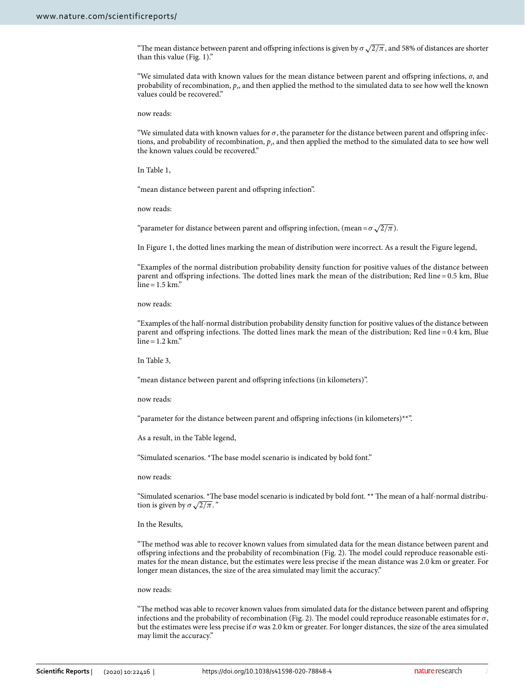"The mean distance between parent and offspring infections is given by  $\sigma\sqrt{2/\pi}$ , and 58% of distances are shorter than this value (Fig. 1)."

"We simulated data with known values for the mean distance between parent and ofspring infections, *σ*, and probability of recombination, *pr*, and then applied the method to the simulated data to see how well the known values could be recovered."

now reads:

"We simulated data with known values for  $\sigma$ , the parameter for the distance between parent and offspring infections, and probability of recombination, *pr*, and then applied the method to the simulated data to see how well the known values could be recovered."

In Table 1,

"mean distance between parent and offspring infection".

now reads:

"parameter for distance between parent and offspring infection, (mean =  $\sigma \sqrt{2/\pi}$ ).

In Figure 1, the dotted lines marking the mean of distribution were incorrect. As a result the Figure legend,

"Examples of the normal distribution probability density function for positive values of the distance between parent and offspring infections. The dotted lines mark the mean of the distribution; Red line = 0.5 km, Blue  $line = 1.5$  km."

now reads:

"Examples of the half-normal distribution probability density function for positive values of the distance between parent and offspring infections. The dotted lines mark the mean of the distribution; Red line = 0.4 km, Blue  $line = 1.2$  km."

In Table 3,

"mean distance between parent and ofspring infections (in kilometers)".

now reads:

"parameter for the distance between parent and offspring infections (in kilometers)\*\*".

As a result, in the Table legend,

"Simulated scenarios. \*The base model scenario is indicated by bold font."

now reads:

"Simulated scenarios. \*The base model scenario is indicated by bold font. \*\* The mean of a half-normal distribution is given by  $\sigma \sqrt{2/\pi}$ ."

#### In the Results,

"Te method was able to recover known values from simulated data for the mean distance between parent and ofspring infections and the probability of recombination (Fig. 2). Te model could reproduce reasonable estimates for the mean distance, but the estimates were less precise if the mean distance was 2.0 km or greater. For longer mean distances, the size of the area simulated may limit the accuracy."

#### now reads:

"Te method was able to recover known values from simulated data for the distance between parent and ofspring infections and the probability of recombination (Fig. 2). The model could reproduce reasonable estimates for  $\sigma$ , but the estimates were less precise if  $\sigma$  was 2.0 km or greater. For longer distances, the size of the area simulated may limit the accuracy."

2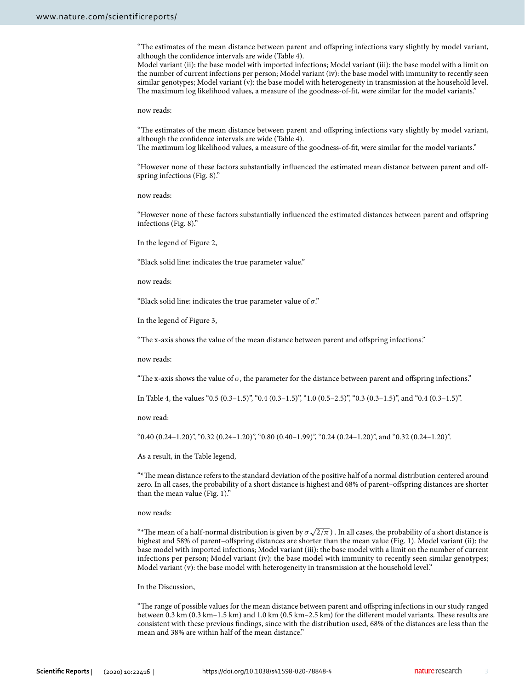"Te estimates of the mean distance between parent and ofspring infections vary slightly by model variant, although the confdence intervals are wide (Table 4).

Model variant (ii): the base model with imported infections; Model variant (iii): the base model with a limit on the number of current infections per person; Model variant (iv): the base model with immunity to recently seen similar genotypes; Model variant (v): the base model with heterogeneity in transmission at the household level. The maximum log likelihood values, a measure of the goodness-of-fit, were similar for the model variants."

now reads:

"Te estimates of the mean distance between parent and ofspring infections vary slightly by model variant, although the confdence intervals are wide (Table 4).

The maximum log likelihood values, a measure of the goodness-of-fit, were similar for the model variants."

"However none of these factors substantially infuenced the estimated mean distance between parent and ofspring infections (Fig. 8)."

now reads:

"However none of these factors substantially infuenced the estimated distances between parent and ofspring infections (Fig. 8)."

In the legend of Figure 2,

"Black solid line: indicates the true parameter value."

now reads:

"Black solid line: indicates the true parameter value of  $\sigma$ ."

In the legend of Figure 3,

"The x-axis shows the value of the mean distance between parent and offspring infections."

now reads:

"The x-axis shows the value of  $\sigma$ , the parameter for the distance between parent and offspring infections."

In Table 4, the values "0.5 (0.3–1.5)", "0.4 (0.3–1.5)", "1.0 (0.5–2.5)", "0.3 (0.3–1.5)", and "0.4 (0.3–1.5)".

now read:

"0.40 (0.24–1.20)", "0.32 (0.24–1.20)", "0.80 (0.40–1.99)", "0.24 (0.24–1.20)", and "0.32 (0.24–1.20)".

As a result, in the Table legend,

"\*Te mean distance refers to the standard deviation of the positive half of a normal distribution centered around zero. In all cases, the probability of a short distance is highest and 68% of parent–ofspring distances are shorter than the mean value (Fig. 1)."

now reads:

"\*The mean of a half-normal distribution is given by  $\sigma\sqrt{2/\pi}$ ). In all cases, the probability of a short distance is highest and 58% of parent–ofspring distances are shorter than the mean value (Fig. 1). Model variant (ii): the base model with imported infections; Model variant (iii): the base model with a limit on the number of current infections per person; Model variant (iv): the base model with immunity to recently seen similar genotypes; Model variant (v): the base model with heterogeneity in transmission at the household level."

#### In the Discussion,

"Te range of possible values for the mean distance between parent and ofspring infections in our study ranged between 0.3 km  $(0.3 \text{ km}-1.5 \text{ km})$  and  $1.0 \text{ km}$   $(0.5 \text{ km}-2.5 \text{ km})$  for the different model variants. These results are consistent with these previous fndings, since with the distribution used, 68% of the distances are less than the mean and 38% are within half of the mean distance."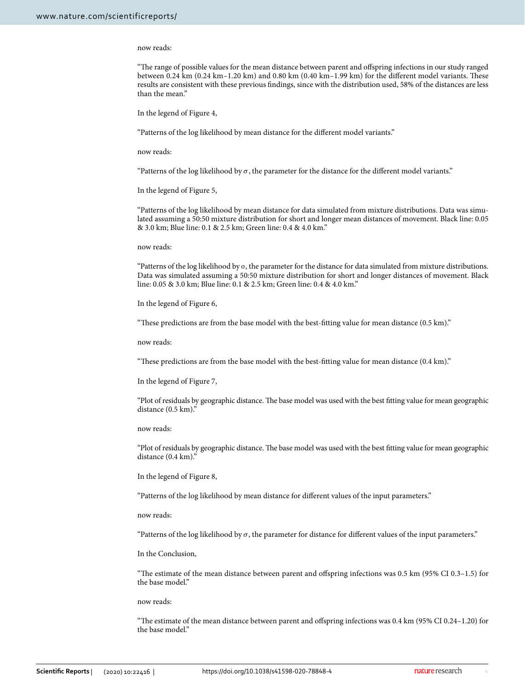#### now reads:

"Te range of possible values for the mean distance between parent and ofspring infections in our study ranged between  $0.24 \text{ km}$  (0.24 km–1.20 km) and 0.80 km (0.40 km–1.99 km) for the different model variants. These results are consistent with these previous fndings, since with the distribution used, 58% of the distances are less than the mean."

In the legend of Figure 4,

"Patterns of the log likelihood by mean distance for the diferent model variants."

now reads:

"Patterns of the log likelihood by  $\sigma$ , the parameter for the distance for the different model variants."

In the legend of Figure 5,

"Patterns of the log likelihood by mean distance for data simulated from mixture distributions. Data was simulated assuming a 50:50 mixture distribution for short and longer mean distances of movement. Black line: 0.05 & 3.0 km; Blue line: 0.1 & 2.5 km; Green line: 0.4 & 4.0 km."

now reads:

"Patterns of the log likelihood by  $\sigma$ , the parameter for the distance for data simulated from mixture distributions. Data was simulated assuming a 50:50 mixture distribution for short and longer distances of movement. Black line: 0.05 & 3.0 km; Blue line: 0.1 & 2.5 km; Green line: 0.4 & 4.0 km."

In the legend of Figure 6,

"These predictions are from the base model with the best-fitting value for mean distance (0.5 km)."

now reads:

"Tese predictions are from the base model with the best-ftting value for mean distance (0.4 km)."

In the legend of Figure 7,

"Plot of residuals by geographic distance. The base model was used with the best fitting value for mean geographic distance  $(0.5 \text{ km})$ .

now reads:

"Plot of residuals by geographic distance. The base model was used with the best fitting value for mean geographic distance (0.4 km)."

In the legend of Figure 8,

"Patterns of the log likelihood by mean distance for diferent values of the input parameters."

now reads:

"Patterns of the log likelihood by  $\sigma$ , the parameter for distance for different values of the input parameters."

In the Conclusion,

"Te estimate of the mean distance between parent and ofspring infections was 0.5 km (95% CI 0.3–1.5) for the base model."

now reads:

"Te estimate of the mean distance between parent and ofspring infections was 0.4 km (95% CI 0.24–1.20) for the base model."

4